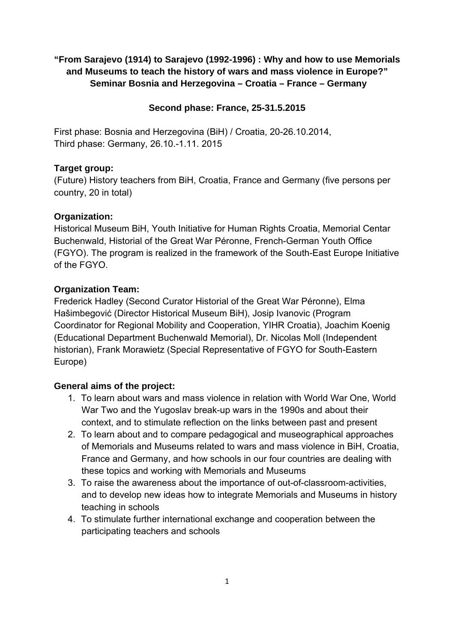# **"From Sarajevo (1914) to Sarajevo (1992-1996) : Why and how to use Memorials and Museums to teach the history of wars and mass violence in Europe?" Seminar Bosnia and Herzegovina – Croatia – France – Germany**

### **Second phase: France, 25-31.5.2015**

First phase: Bosnia and Herzegovina (BiH) / Croatia, 20-26.10.2014, Third phase: Germany, 26.10.-1.11. 2015

### **Target group:**

(Future) History teachers from BiH, Croatia, France and Germany (five persons per country, 20 in total)

### **Organization:**

Historical Museum BiH, Youth Initiative for Human Rights Croatia, Memorial Centar Buchenwald, Historial of the Great War Péronne, French-German Youth Office (FGYO). The program is realized in the framework of the South-East Europe Initiative of the FGYO.

## **Organization Team:**

Frederick Hadley (Second Curator Historial of the Great War Péronne), Elma Hašimbegović (Director Historical Museum BiH), Josip Ivanovic (Program Coordinator for Regional Mobility and Cooperation, YIHR Croatia), Joachim Koenig (Educational Department Buchenwald Memorial), Dr. Nicolas Moll (Independent historian), Frank Morawietz (Special Representative of FGYO for South-Eastern Europe)

## **General aims of the project:**

- 1. To learn about wars and mass violence in relation with World War One, World War Two and the Yugoslav break-up wars in the 1990s and about their context, and to stimulate reflection on the links between past and present
- 2. To learn about and to compare pedagogical and museographical approaches of Memorials and Museums related to wars and mass violence in BiH, Croatia, France and Germany, and how schools in our four countries are dealing with these topics and working with Memorials and Museums
- 3. To raise the awareness about the importance of out-of-classroom-activities, and to develop new ideas how to integrate Memorials and Museums in history teaching in schools
- 4. To stimulate further international exchange and cooperation between the participating teachers and schools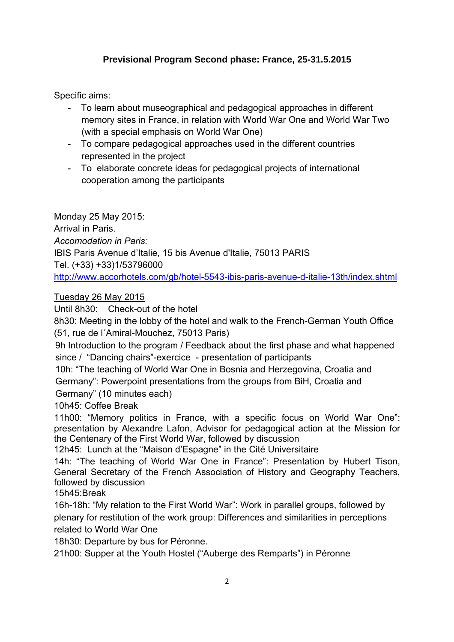# **Previsional Program Second phase: France, 25-31.5.2015**

Specific aims:

- To learn about museographical and pedagogical approaches in different memory sites in France, in relation with World War One and World War Two (with a special emphasis on World War One)
- To compare pedagogical approaches used in the different countries represented in the project
- To elaborate concrete ideas for pedagogical projects of international cooperation among the participants

Monday 25 May 2015:

Arrival in Paris. *Accomodation in Paris:*  IBIS Paris Avenue d'Italie, 15 bis Avenue d'Italie, 75013 PARIS Tel. (+33) +33)1/53796000 http://www.accorhotels.com/gb/hotel-5543-ibis-paris-avenue-d-italie-13th/index.shtml

Tuesday 26 May 2015

Until 8h30: Check-out of the hotel

8h30: Meeting in the lobby of the hotel and walk to the French-German Youth Office (51, rue de l´Amiral-Mouchez, 75013 Paris)

9h Introduction to the program / Feedback about the first phase and what happened since / "Dancing chairs"-exercice - presentation of participants

10h: "The teaching of World War One in Bosnia and Herzegovina, Croatia and Germany": Powerpoint presentations from the groups from BiH, Croatia and Germany" (10 minutes each)

10h45: Coffee Break

11h00: "Memory politics in France, with a specific focus on World War One": presentation by Alexandre Lafon, Advisor for pedagogical action at the Mission for the Centenary of the First World War, followed by discussion

12h45: Lunch at the "Maison d'Espagne" in the Cité Universitaire

14h: "The teaching of World War One in France": Presentation by Hubert Tison, General Secretary of the French Association of History and Geography Teachers, followed by discussion

15h45:Break

16h-18h: "My relation to the First World War": Work in parallel groups, followed by plenary for restitution of the work group: Differences and similarities in perceptions related to World War One

18h30: Departure by bus for Péronne.

21h00: Supper at the Youth Hostel ("Auberge des Remparts") in Péronne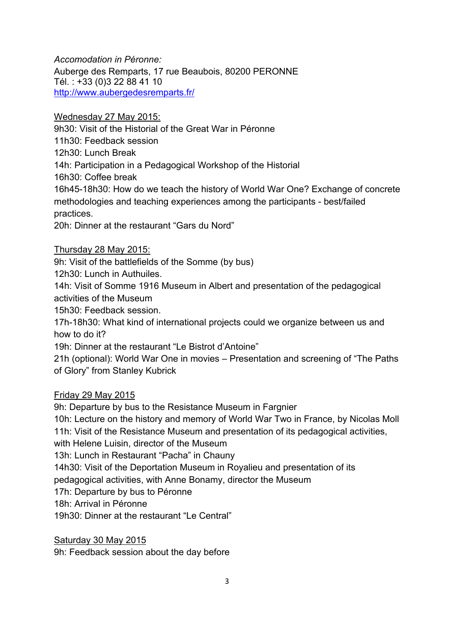*Accomodation in Péronne:*  Auberge des Remparts, 17 rue Beaubois, 80200 PERONNE Tél. : +33 (0)3 22 88 41 10 http://www.aubergedesremparts.fr/

Wednesday 27 May 2015:

9h30: Visit of the Historial of the Great War in Péronne

11h30: Feedback session

12h30: Lunch Break

14h: Participation in a Pedagogical Workshop of the Historial

16h30: Coffee break

16h45-18h30: How do we teach the history of World War One? Exchange of concrete methodologies and teaching experiences among the participants - best/failed practices.

20h: Dinner at the restaurant "Gars du Nord"

Thursday 28 May 2015:

9h: Visit of the battlefields of the Somme (by bus)

12h30: Lunch in Authuiles.

14h: Visit of Somme 1916 Museum in Albert and presentation of the pedagogical activities of the Museum

15h30: Feedback session.

17h-18h30: What kind of international projects could we organize between us and how to do it?

19h: Dinner at the restaurant "Le Bistrot d'Antoine"

21h (optional): World War One in movies – Presentation and screening of "The Paths of Glory" from Stanley Kubrick

## Friday 29 May 2015

9h: Departure by bus to the Resistance Museum in Fargnier

10h: Lecture on the history and memory of World War Two in France, by Nicolas Moll 11h: Visit of the Resistance Museum and presentation of its pedagogical activities,

with Helene Luisin, director of the Museum

13h: Lunch in Restaurant "Pacha" in Chauny

14h30: Visit of the Deportation Museum in Royalieu and presentation of its

pedagogical activities, with Anne Bonamy, director the Museum

17h: Departure by bus to Péronne

18h: Arrival in Péronne

19h30: Dinner at the restaurant "Le Central"

Saturday 30 May 2015

9h: Feedback session about the day before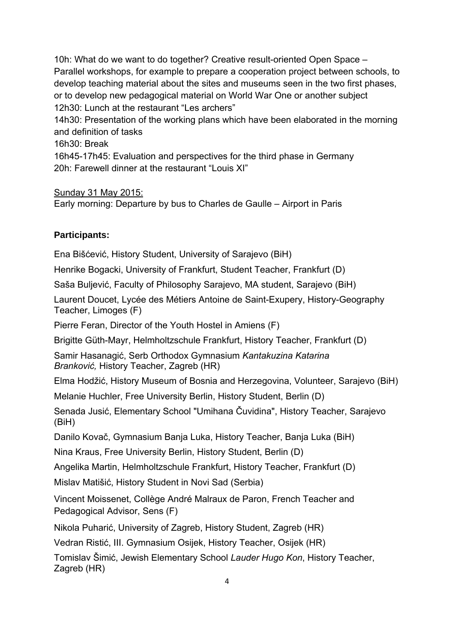10h: What do we want to do together? Creative result-oriented Open Space – Parallel workshops, for example to prepare a cooperation project between schools, to develop teaching material about the sites and museums seen in the two first phases, or to develop new pedagogical material on World War One or another subject 12h30: Lunch at the restaurant "Les archers" 14h30: Presentation of the working plans which have been elaborated in the morning

and definition of tasks

16h30: Break

16h45-17h45: Evaluation and perspectives for the third phase in Germany 20h: Farewell dinner at the restaurant "Louis XI"

Sunday 31 May 2015:

Early morning: Departure by bus to Charles de Gaulle – Airport in Paris

# **Participants:**

Ena Bišćević, History Student, University of Sarajevo (BiH)

Henrike Bogacki, University of Frankfurt, Student Teacher, Frankfurt (D)

Saša Buljević, Faculty of Philosophy Sarajevo, MA student, Sarajevo (BiH)

Laurent Doucet, Lycée des Métiers Antoine de Saint-Exupery, History-Geography Teacher, Limoges (F)

Pierre Feran, Director of the Youth Hostel in Amiens (F)

Brigitte Güth-Mayr, Helmholtzschule Frankfurt, History Teacher, Frankfurt (D)

Samir Hasanagić, Serb Orthodox Gymnasium *Kantakuzina Katarina Branković,* History Teacher, Zagreb (HR)

Elma Hodžić, History Museum of Bosnia and Herzegovina, Volunteer, Sarajevo (BiH)

Melanie Huchler, Free University Berlin, History Student, Berlin (D)

Senada Jusić, Elementary School "Umihana Čuvidina", History Teacher, Sarajevo (BiH)

Danilo Kovač, Gymnasium Banja Luka, History Teacher, Banja Luka (BiH)

Nina Kraus, Free University Berlin, History Student, Berlin (D)

Angelika Martin, Helmholtzschule Frankfurt, History Teacher, Frankfurt (D)

Mislav Matišić, History Student in Novi Sad (Serbia)

Vincent Moissenet, Collège André Malraux de Paron, French Teacher and Pedagogical Advisor, Sens (F)

Nikola Puharić, University of Zagreb, History Student, Zagreb (HR)

Vedran Ristić, III. Gymnasium Osijek, History Teacher, Osijek (HR)

Tomislav Šimić, Jewish Elementary School *Lauder Hugo Kon*, History Teacher, Zagreb (HR)